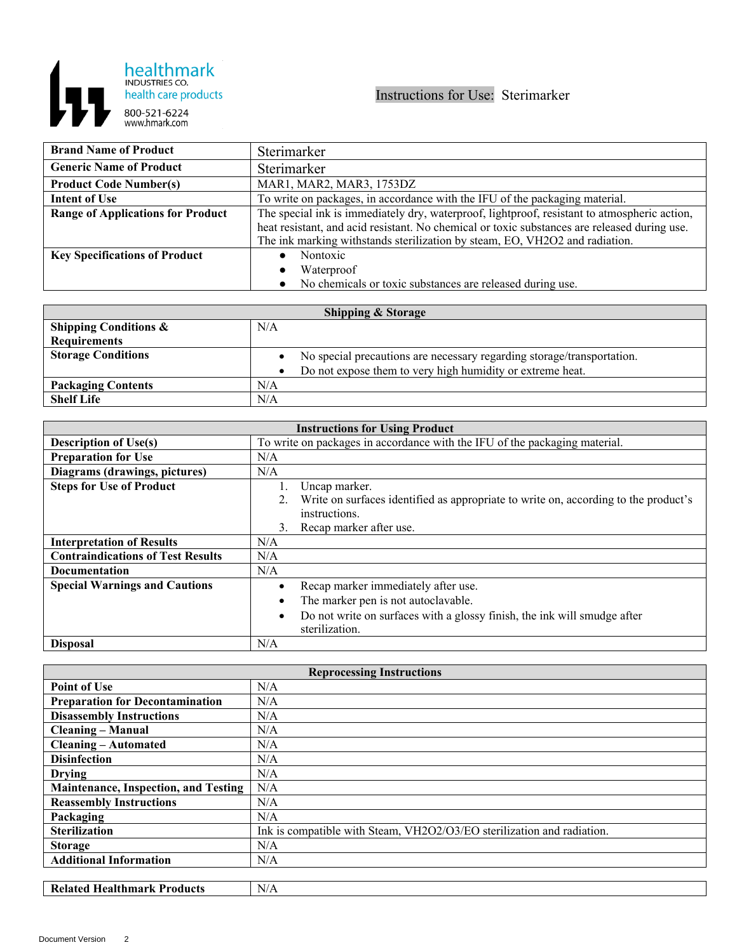

| <b>Brand Name of Product</b>             | Sterimarker                                                                                  |
|------------------------------------------|----------------------------------------------------------------------------------------------|
| <b>Generic Name of Product</b>           | Sterimarker                                                                                  |
| <b>Product Code Number(s)</b>            | MAR1, MAR2, MAR3, 1753DZ                                                                     |
| <b>Intent of Use</b>                     | To write on packages, in accordance with the IFU of the packaging material.                  |
| <b>Range of Applications for Product</b> | The special ink is immediately dry, waterproof, lightproof, resistant to atmospheric action, |
|                                          | heat resistant, and acid resistant. No chemical or toxic substances are released during use. |
|                                          | The ink marking withstands sterilization by steam, EO, VH2O2 and radiation.                  |
| <b>Key Specifications of Product</b>     | Nontoxic                                                                                     |
|                                          | Waterproof<br>$\bullet$                                                                      |
|                                          | • No chemicals or toxic substances are released during use.                                  |

| <b>Shipping &amp; Storage</b>    |                                                                        |  |
|----------------------------------|------------------------------------------------------------------------|--|
| <b>Shipping Conditions &amp;</b> | N/A                                                                    |  |
| <b>Requirements</b>              |                                                                        |  |
| <b>Storage Conditions</b>        | No special precautions are necessary regarding storage/transportation. |  |
|                                  | Do not expose them to very high humidity or extreme heat.              |  |
| <b>Packaging Contents</b>        | N/A                                                                    |  |
| <b>Shelf Life</b>                | N/A                                                                    |  |

| <b>Instructions for Using Product</b>    |                                                                                                         |  |
|------------------------------------------|---------------------------------------------------------------------------------------------------------|--|
| <b>Description of Use(s)</b>             | To write on packages in accordance with the IFU of the packaging material.                              |  |
| <b>Preparation for Use</b>               | N/A                                                                                                     |  |
| Diagrams (drawings, pictures)            | N/A                                                                                                     |  |
| <b>Steps for Use of Product</b>          | Uncap marker.                                                                                           |  |
|                                          | Write on surfaces identified as appropriate to write on, according to the product's                     |  |
|                                          | instructions.                                                                                           |  |
|                                          | Recap marker after use.<br>3.                                                                           |  |
| <b>Interpretation of Results</b>         | N/A                                                                                                     |  |
| <b>Contraindications of Test Results</b> | N/A                                                                                                     |  |
| Documentation                            | N/A                                                                                                     |  |
| <b>Special Warnings and Cautions</b>     | Recap marker immediately after use.                                                                     |  |
|                                          | The marker pen is not autoclavable.                                                                     |  |
|                                          | Do not write on surfaces with a glossy finish, the ink will smudge after<br>$\bullet$<br>sterilization. |  |
| <b>Disposal</b>                          | N/A                                                                                                     |  |

| <b>Reprocessing Instructions</b>            |                                                                        |  |
|---------------------------------------------|------------------------------------------------------------------------|--|
| Point of Use                                | N/A                                                                    |  |
| <b>Preparation for Decontamination</b>      | N/A                                                                    |  |
| <b>Disassembly Instructions</b>             | N/A                                                                    |  |
| <b>Cleaning – Manual</b>                    | N/A                                                                    |  |
| <b>Cleaning - Automated</b>                 | N/A                                                                    |  |
| <b>Disinfection</b>                         | N/A                                                                    |  |
| <b>Drying</b>                               | N/A                                                                    |  |
| <b>Maintenance, Inspection, and Testing</b> | N/A                                                                    |  |
| <b>Reassembly Instructions</b>              | N/A                                                                    |  |
| Packaging                                   | N/A                                                                    |  |
| <b>Sterilization</b>                        | Ink is compatible with Steam, VH2O2/O3/EO sterilization and radiation. |  |
| <b>Storage</b>                              | N/A                                                                    |  |
| <b>Additional Information</b>               | N/A                                                                    |  |
|                                             |                                                                        |  |
| <b>Related Healthmark Products</b>          | N/A                                                                    |  |